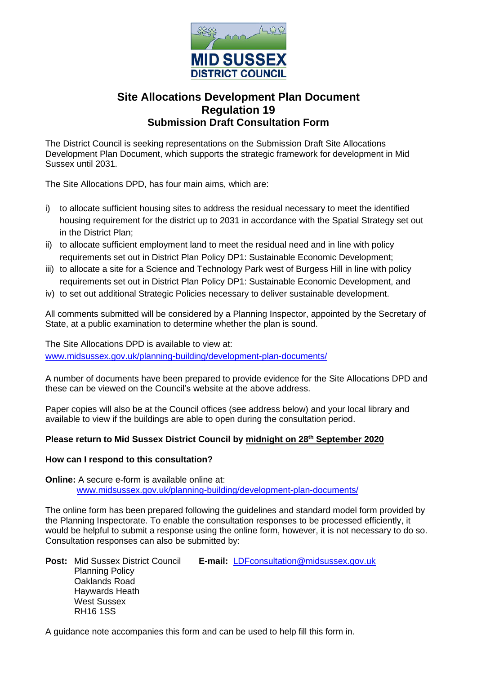

# **Site Allocations Development Plan Document Regulation 19 Submission Draft Consultation Form**

The District Council is seeking representations on the Submission Draft Site Allocations Development Plan Document, which supports the strategic framework for development in Mid Sussex until 2031.

The Site Allocations DPD, has four main aims, which are:

- i) to allocate sufficient housing sites to address the residual necessary to meet the identified housing requirement for the district up to 2031 in accordance with the Spatial Strategy set out in the District Plan;
- ii) to allocate sufficient employment land to meet the residual need and in line with policy requirements set out in District Plan Policy DP1: Sustainable Economic Development;
- iii) to allocate a site for a Science and Technology Park west of Burgess Hill in line with policy requirements set out in District Plan Policy DP1: Sustainable Economic Development, and
- iv) to set out additional Strategic Policies necessary to deliver sustainable development.

All comments submitted will be considered by a Planning Inspector, appointed by the Secretary of State, at a public examination to determine whether the plan is sound.

The Site Allocations DPD is available to view at:

www.midsussex.gov.uk/planning-building/development-plan-documents/

A number of documents have been prepared to provide evidence for the Site Allocations DPD and these can be viewed on the Council's website at the above address.

Paper copies will also be at the Council offices (see address below) and your local library and available to view if the buildings are able to open during the consultation period.

# **Please return to Mid Sussex District Council by midnight on 28th September 2020**

## **How can I respond to this consultation?**

**Online:** A secure e-form is available online at: www.midsussex.gov.uk/planning-building/development-plan-documents/

The online form has been prepared following the guidelines and standard model form provided by the Planning Inspectorate. To enable the consultation responses to be processed efficiently, it would be helpful to submit a response using the online form, however, it is not necessary to do so. Consultation responses can also be submitted by:

**Post:** Mid Sussex District Council **E-mail:** LDFconsultation@midsussex.gov.uk Planning Policy Oaklands Road Haywards Heath West Sussex RH16 1SS

A guidance note accompanies this form and can be used to help fill this form in.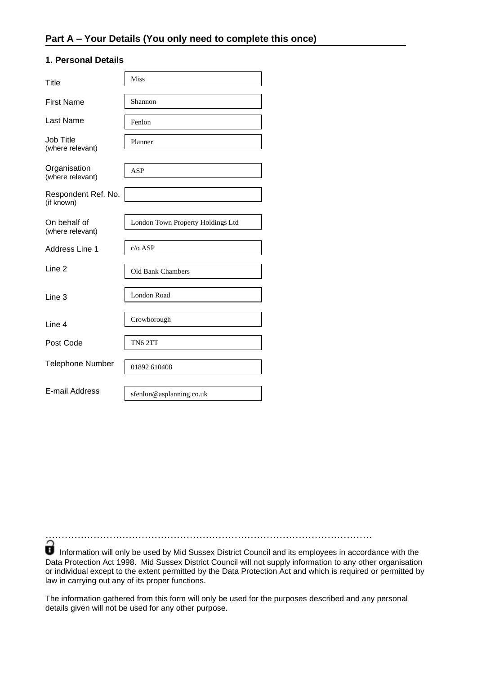#### **1. Personal Details**

| Title                             | <b>Miss</b>                       |
|-----------------------------------|-----------------------------------|
| <b>First Name</b>                 | Shannon                           |
| Last Name                         | Fenlon                            |
| Job Title<br>(where relevant)     | Planner                           |
| Organisation<br>(where relevant)  | <b>ASP</b>                        |
| Respondent Ref. No.<br>(if known) |                                   |
| On behalf of<br>(where relevant)  | London Town Property Holdings Ltd |
| Address Line 1                    | $c/o$ ASP                         |
| Line 2                            | Old Bank Chambers                 |
| Line 3                            | <b>London Road</b>                |
| Line 4                            | Crowborough                       |
| Post Code                         | TN62TT                            |
| <b>Telephone Number</b>           | 01892 610408                      |
| E-mail Address                    | sfenlon@asplanning.co.uk          |

…………………………………………………………………………………………

Information will only be used by Mid Sussex District Council and its employees in accordance with the Data Protection Act 1998. Mid Sussex District Council will not supply information to any other organisation or individual except to the extent permitted by the Data Protection Act and which is required or permitted by law in carrying out any of its proper functions.

The information gathered from this form will only be used for the purposes described and any personal details given will not be used for any other purpose.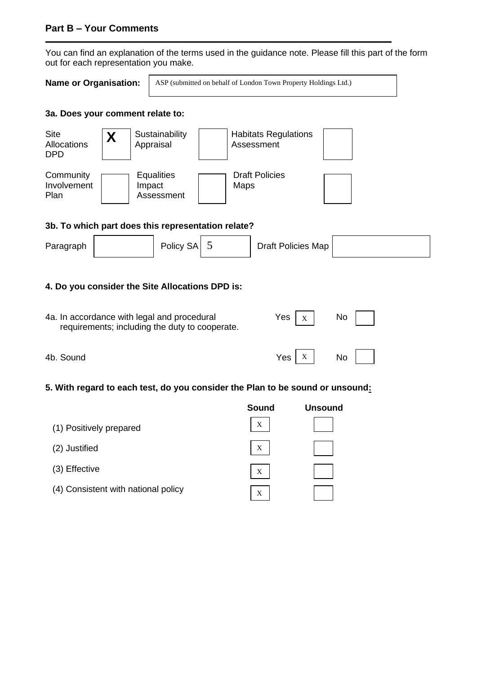# **Part B – Your Comments**

You can find an explanation of the terms used in the guidance note. Please fill this part of the form out for each representation you make.

| <b>Name or Organisation:</b> |  |  |
|------------------------------|--|--|
|                              |  |  |

ASP (submitted on behalf of London Town Property Holdings Ltd.)

## **3a. Does your comment relate to:**



#### **3b. To which part does this representation relate?**

| Paragraph | Policy SA |  | Draft Policies Map |  |
|-----------|-----------|--|--------------------|--|
|-----------|-----------|--|--------------------|--|

## **4. Do you consider the Site Allocations DPD is:**

| 4a. In accordance with legal and procedural<br>requirements; including the duty to cooperate. | Yes<br>X | No.       |
|-----------------------------------------------------------------------------------------------|----------|-----------|
| 4b. Sound                                                                                     | Yes      | <b>No</b> |

# **5. With regard to each test, do you consider the Plan to be sound or unsound:**

|                                     | Sound | <b>Unsound</b> |
|-------------------------------------|-------|----------------|
| (1) Positively prepared             | X     |                |
| (2) Justified                       | X     |                |
| (3) Effective                       | X     |                |
| (4) Consistent with national policy | X     |                |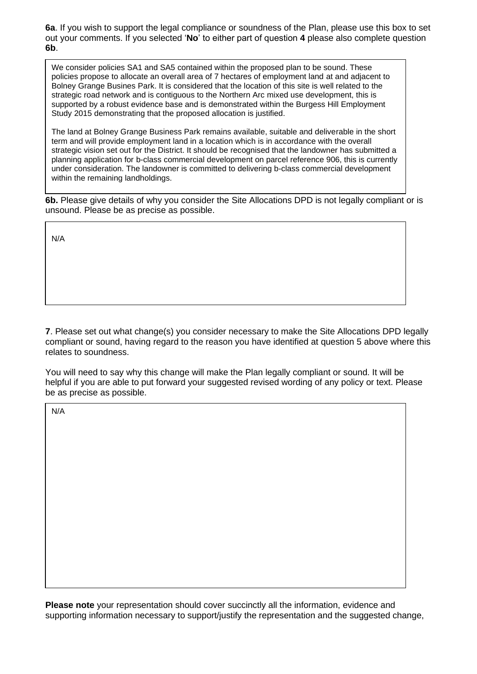**6a**. If you wish to support the legal compliance or soundness of the Plan, please use this box to set out your comments. If you selected '**No**' to either part of question **4** please also complete question **6b**.

strategic road network and is contiguous to the Northern Arc mixed use development, this is<br>supported by a robust evidence base and is demonstrated within the Burgess Hill Employment We consider policies SA1 and SA5 contained within the proposed plan to be sound. These policies propose to allocate an overall area of 7 hectares of employment land at and adjacent to Bolney Grange Busines Park. It is considered that the location of this site is well related to the strategic road network and is contiguous to the Northern Arc mixed use development, this is Study 2015 demonstrating that the proposed allocation is justified.

The land at Bolney Grange Business Park remains available, suitable and deliverable in the short term and will provide employment land in a location which is in accordance with the overall strategic vision set out for the District. It should be recognised that the landowner has submitted a planning application for b-class commercial development on parcel reference 906, this is currently under consideration. The landowner is committed to delivering b-class commercial development within the remaining landholdings.

**6b.** Please give details of why you consider the Site Allocations DPD is not legally compliant or is unsound. Please be as precise as possible.

N/A

**7**. Please set out what change(s) you consider necessary to make the Site Allocations DPD legally compliant or sound, having regard to the reason you have identified at question 5 above where this relates to soundness.

You will need to say why this change will make the Plan legally compliant or sound. It will be helpful if you are able to put forward your suggested revised wording of any policy or text. Please be as precise as possible.

N/A

**Please note** your representation should cover succinctly all the information, evidence and supporting information necessary to support/justify the representation and the suggested change,